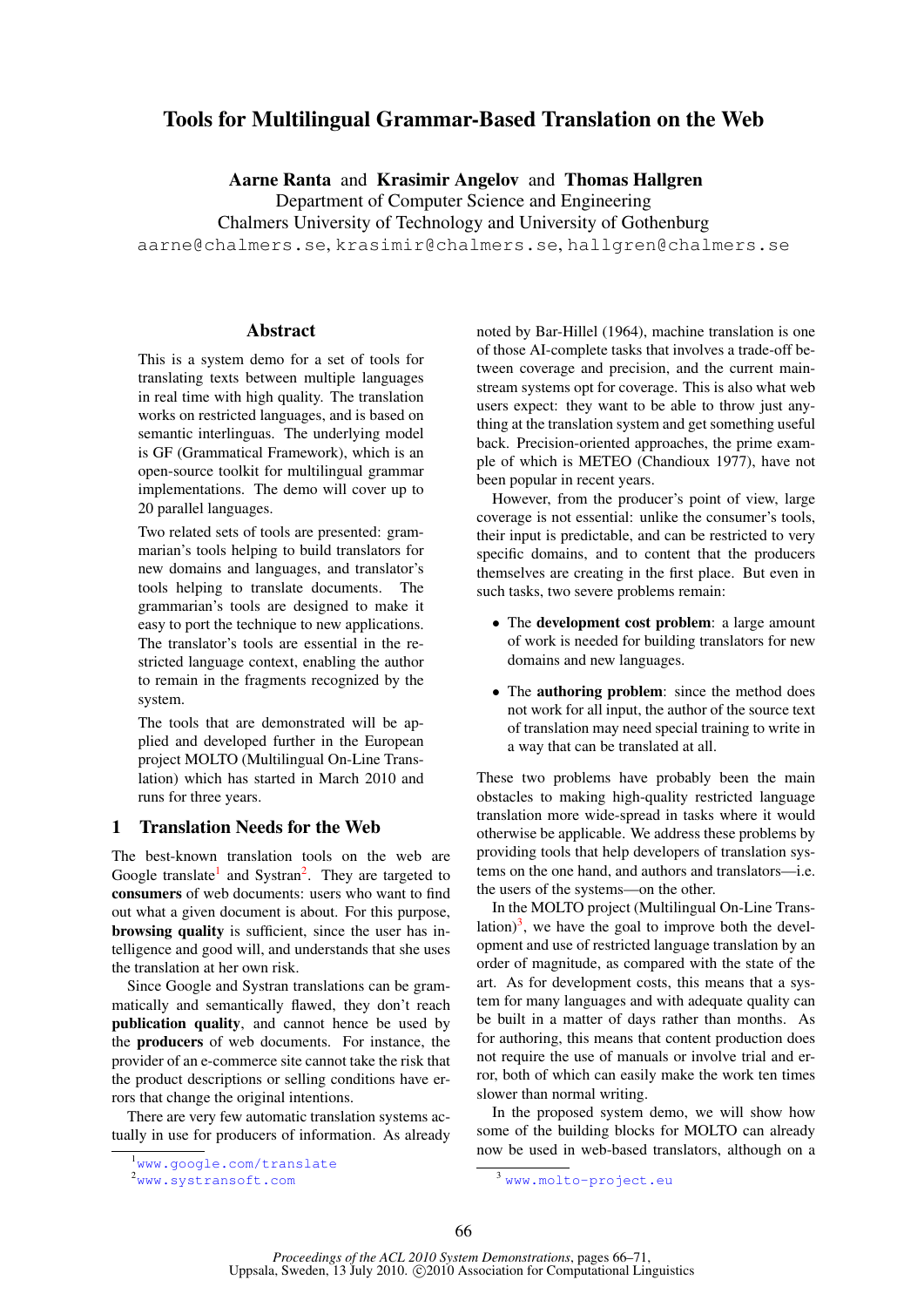# Tools for Multilingual Grammar-Based Translation on the Web

Aarne Ranta and Krasimir Angelov and Thomas Hallgren

Department of Computer Science and Engineering

Chalmers University of Technology and University of Gothenburg

aarne@chalmers.se, krasimir@chalmers.se, hallgren@chalmers.se

## Abstract

This is a system demo for a set of tools for translating texts between multiple languages in real time with high quality. The translation works on restricted languages, and is based on semantic interlinguas. The underlying model is GF (Grammatical Framework), which is an open-source toolkit for multilingual grammar implementations. The demo will cover up to 20 parallel languages.

Two related sets of tools are presented: grammarian's tools helping to build translators for new domains and languages, and translator's tools helping to translate documents. The grammarian's tools are designed to make it easy to port the technique to new applications. The translator's tools are essential in the restricted language context, enabling the author to remain in the fragments recognized by the system.

The tools that are demonstrated will be applied and developed further in the European project MOLTO (Multilingual On-Line Translation) which has started in March 2010 and runs for three years.

## 1 Translation Needs for the Web

The best-known translation tools on the web are Google translate<sup>1</sup> and Systran<sup>2</sup>. They are targeted to consumers of web documents: users who want to find out what a given document is about. For this purpose, browsing quality is sufficient, since the user has intelligence and good will, and understands that she uses the translation at her own risk.

Since Google and Systran translations can be grammatically and semantically flawed, they don't reach publication quality, and cannot hence be used by the producers of web documents. For instance, the provider of an e-commerce site cannot take the risk that the product descriptions or selling conditions have errors that change the original intentions.

There are very few automatic translation systems actually in use for producers of information. As already noted by Bar-Hillel (1964), machine translation is one of those AI-complete tasks that involves a trade-off between coverage and precision, and the current mainstream systems opt for coverage. This is also what web users expect: they want to be able to throw just anything at the translation system and get something useful back. Precision-oriented approaches, the prime example of which is METEO (Chandioux 1977), have not been popular in recent years.

However, from the producer's point of view, large coverage is not essential: unlike the consumer's tools, their input is predictable, and can be restricted to very specific domains, and to content that the producers themselves are creating in the first place. But even in such tasks, two severe problems remain:

- The **development cost problem**: a large amount of work is needed for building translators for new domains and new languages.
- The **authoring problem**: since the method does not work for all input, the author of the source text of translation may need special training to write in a way that can be translated at all.

These two problems have probably been the main obstacles to making high-quality restricted language translation more wide-spread in tasks where it would otherwise be applicable. We address these problems by providing tools that help developers of translation systems on the one hand, and authors and translators—i.e. the users of the systems—on the other.

In the MOLTO project (Multilingual On-Line Translation) $3$ , we have the goal to improve both the development and use of restricted language translation by an order of magnitude, as compared with the state of the art. As for development costs, this means that a system for many languages and with adequate quality can be built in a matter of days rather than months. As for authoring, this means that content production does not require the use of manuals or involve trial and error, both of which can easily make the work ten times slower than normal writing.

In the proposed system demo, we will show how some of the building blocks for MOLTO can already now be used in web-based translators, although on a

<sup>1</sup>www.google.com/translate

<sup>2</sup>www.systransoft.com

<sup>3</sup> www.molto-project.eu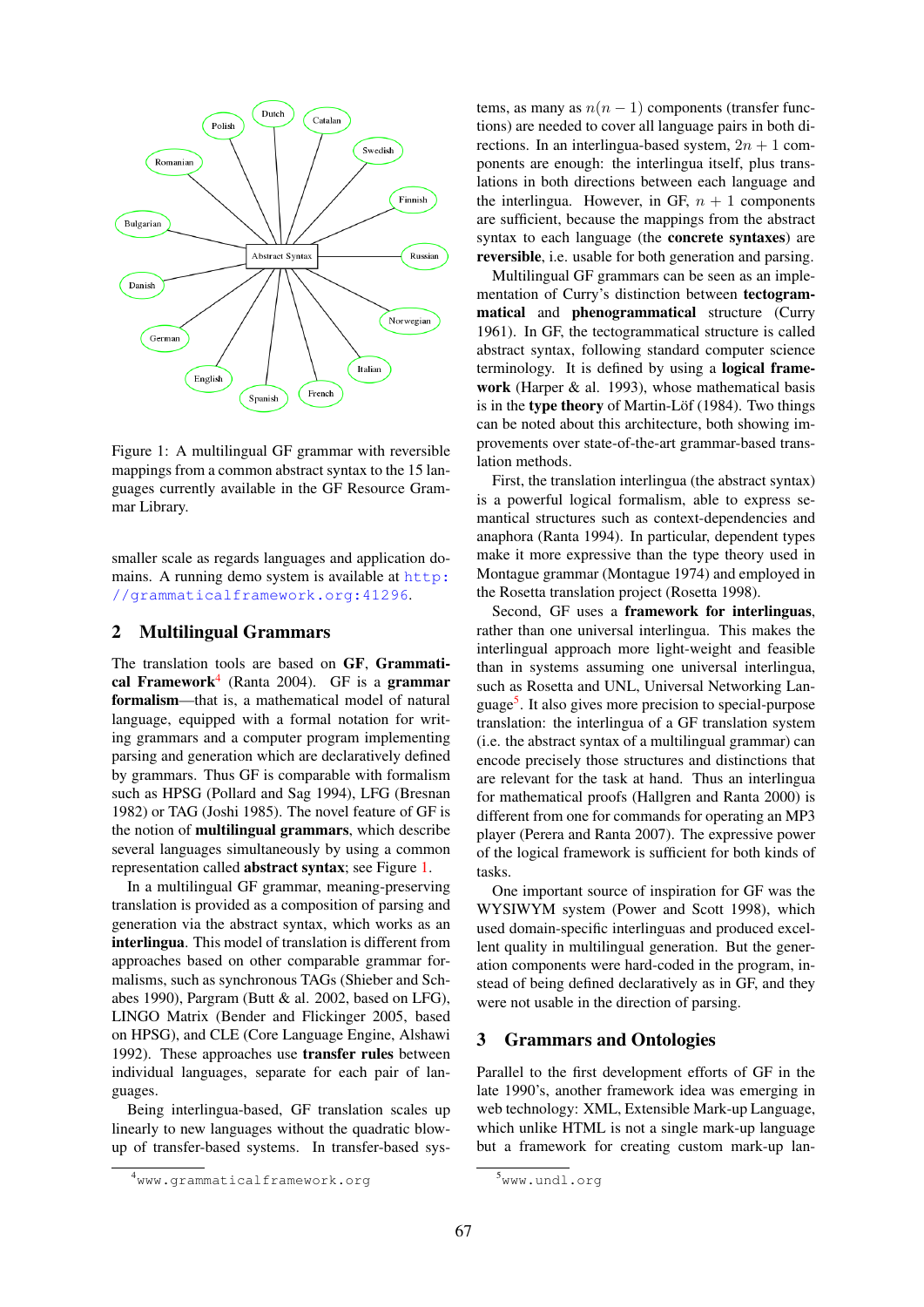

Figure 1: A multilingual GF grammar with reversible mappings from a common abstract syntax to the 15 languages currently available in the GF Resource Grammar Library.

smaller scale as regards languages and application domains. A running demo system is available at http: //grammaticalframework.org:41296.

## 2 Multilingual Grammars

The translation tools are based on GF, Grammatical Framework<sup>4</sup> (Ranta 2004). GF is a grammar formalism—that is, a mathematical model of natural language, equipped with a formal notation for writing grammars and a computer program implementing parsing and generation which are declaratively defined by grammars. Thus GF is comparable with formalism such as HPSG (Pollard and Sag 1994), LFG (Bresnan 1982) or TAG (Joshi 1985). The novel feature of GF is the notion of multilingual grammars, which describe several languages simultaneously by using a common representation called abstract syntax; see Figure 1.

In a multilingual GF grammar, meaning-preserving translation is provided as a composition of parsing and generation via the abstract syntax, which works as an interlingua. This model of translation is different from approaches based on other comparable grammar formalisms, such as synchronous TAGs (Shieber and Schabes 1990), Pargram (Butt & al. 2002, based on LFG), LINGO Matrix (Bender and Flickinger 2005, based on HPSG), and CLE (Core Language Engine, Alshawi 1992). These approaches use transfer rules between individual languages, separate for each pair of languages.

Being interlingua-based, GF translation scales up linearly to new languages without the quadratic blowup of transfer-based systems. In transfer-based sys-

tems, as many as  $n(n - 1)$  components (transfer functions) are needed to cover all language pairs in both directions. In an interlingua-based system,  $2n + 1$  components are enough: the interlingua itself, plus translations in both directions between each language and the interlingua. However, in GF,  $n + 1$  components are sufficient, because the mappings from the abstract syntax to each language (the concrete syntaxes) are reversible, i.e. usable for both generation and parsing.

Multilingual GF grammars can be seen as an implementation of Curry's distinction between tectogrammatical and phenogrammatical structure (Curry 1961). In GF, the tectogrammatical structure is called abstract syntax, following standard computer science terminology. It is defined by using a logical framework (Harper & al. 1993), whose mathematical basis is in the type theory of Martin-Löf  $(1984)$ . Two things can be noted about this architecture, both showing improvements over state-of-the-art grammar-based translation methods.

First, the translation interlingua (the abstract syntax) is a powerful logical formalism, able to express semantical structures such as context-dependencies and anaphora (Ranta 1994). In particular, dependent types make it more expressive than the type theory used in Montague grammar (Montague 1974) and employed in the Rosetta translation project (Rosetta 1998).

Second, GF uses a framework for interlinguas, rather than one universal interlingua. This makes the interlingual approach more light-weight and feasible than in systems assuming one universal interlingua, such as Rosetta and UNL, Universal Networking Language<sup>5</sup>. It also gives more precision to special-purpose translation: the interlingua of a GF translation system (i.e. the abstract syntax of a multilingual grammar) can encode precisely those structures and distinctions that are relevant for the task at hand. Thus an interlingua for mathematical proofs (Hallgren and Ranta 2000) is different from one for commands for operating an MP3 player (Perera and Ranta 2007). The expressive power of the logical framework is sufficient for both kinds of tasks.

One important source of inspiration for GF was the WYSIWYM system (Power and Scott 1998), which used domain-specific interlinguas and produced excellent quality in multilingual generation. But the generation components were hard-coded in the program, instead of being defined declaratively as in GF, and they were not usable in the direction of parsing.

#### 3 Grammars and Ontologies

Parallel to the first development efforts of GF in the late 1990's, another framework idea was emerging in web technology: XML, Extensible Mark-up Language, which unlike HTML is not a single mark-up language but a framework for creating custom mark-up lan-

<sup>4</sup>www.grammaticalframework.org

<sup>5</sup>www.undl.org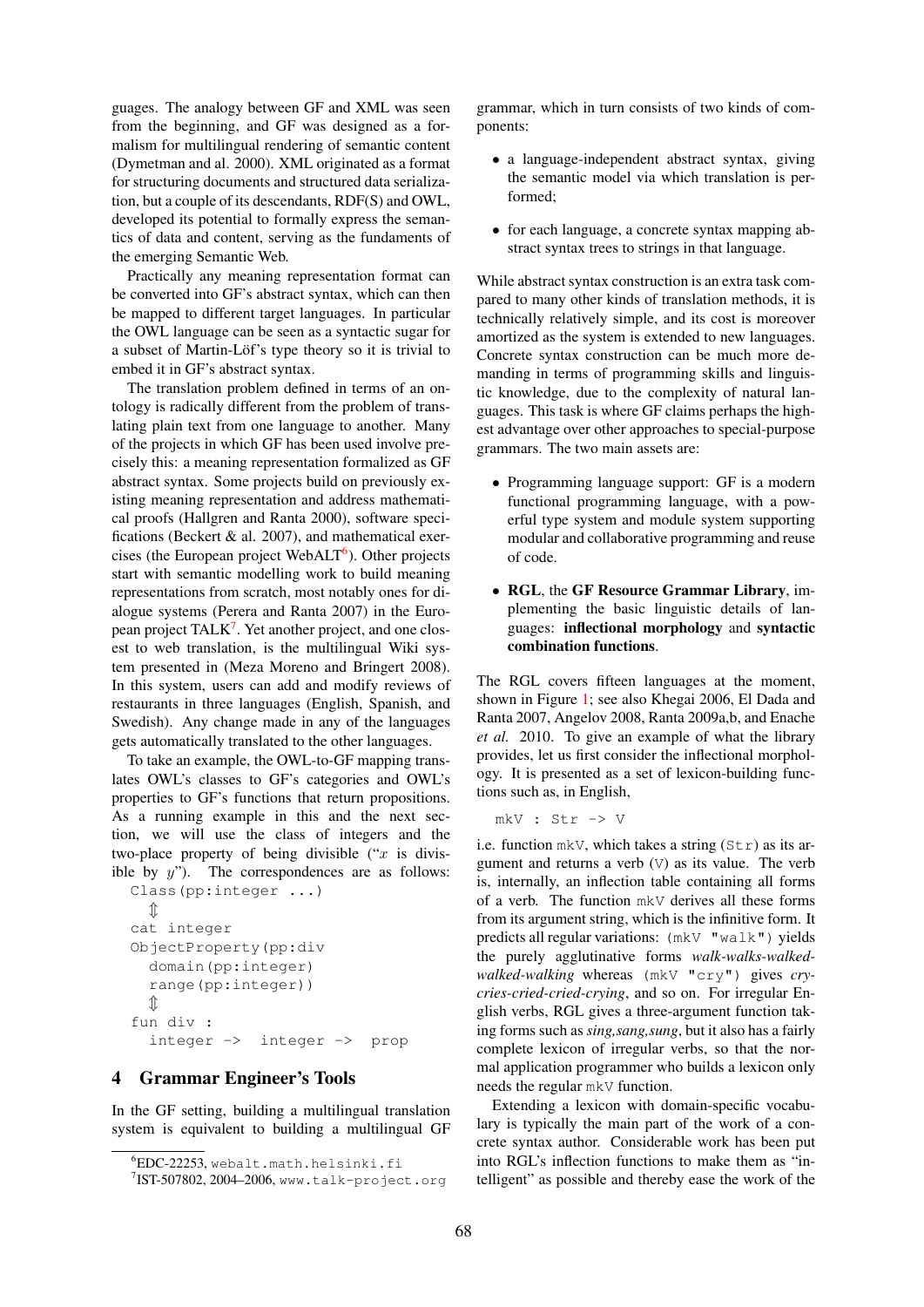guages. The analogy between GF and XML was seen from the beginning, and GF was designed as a formalism for multilingual rendering of semantic content (Dymetman and al. 2000). XML originated as a format for structuring documents and structured data serialization, but a couple of its descendants, RDF(S) and OWL, developed its potential to formally express the semantics of data and content, serving as the fundaments of the emerging Semantic Web.

Practically any meaning representation format can be converted into GF's abstract syntax, which can then be mapped to different target languages. In particular the OWL language can be seen as a syntactic sugar for a subset of Martin-Löf's type theory so it is trivial to embed it in GF's abstract syntax.

The translation problem defined in terms of an ontology is radically different from the problem of translating plain text from one language to another. Many of the projects in which GF has been used involve precisely this: a meaning representation formalized as GF abstract syntax. Some projects build on previously existing meaning representation and address mathematical proofs (Hallgren and Ranta 2000), software specifications (Beckert & al. 2007), and mathematical exercises (the European project WebALT<sup>6</sup>). Other projects start with semantic modelling work to build meaning representations from scratch, most notably ones for dialogue systems (Perera and Ranta 2007) in the European project TALK<sup>7</sup>. Yet another project, and one closest to web translation, is the multilingual Wiki system presented in (Meza Moreno and Bringert 2008). In this system, users can add and modify reviews of restaurants in three languages (English, Spanish, and Swedish). Any change made in any of the languages gets automatically translated to the other languages.

To take an example, the OWL-to-GF mapping translates OWL's classes to GF's categories and OWL's properties to GF's functions that return propositions. As a running example in this and the next section, we will use the class of integers and the two-place property of being divisible (" $x$  is divisible by  $y$ "). The correspondences are as follows:

```
Class(pp:integer ...)
  \hat{\mathbb{I}}cat integer
ObjectProperty(pp:div
  domain(pp:integer)
  range(pp:integer))
  \mathbb{\hat{I}}fun div :
  integer -> integer -> prop
```
## 4 Grammar Engineer's Tools

In the GF setting, building a multilingual translation system is equivalent to building a multilingual GF

grammar, which in turn consists of two kinds of components:

- a language-independent abstract syntax, giving the semantic model via which translation is performed;
- for each language, a concrete syntax mapping abstract syntax trees to strings in that language.

While abstract syntax construction is an extra task compared to many other kinds of translation methods, it is technically relatively simple, and its cost is moreover amortized as the system is extended to new languages. Concrete syntax construction can be much more demanding in terms of programming skills and linguistic knowledge, due to the complexity of natural languages. This task is where GF claims perhaps the highest advantage over other approaches to special-purpose grammars. The two main assets are:

- Programming language support: GF is a modern functional programming language, with a powerful type system and module system supporting modular and collaborative programming and reuse of code.
- RGL, the GF Resource Grammar Library, implementing the basic linguistic details of languages: inflectional morphology and syntactic combination functions.

The RGL covers fifteen languages at the moment, shown in Figure 1; see also Khegai 2006, El Dada and Ranta 2007, Angelov 2008, Ranta 2009a,b, and Enache *et al.* 2010. To give an example of what the library provides, let us first consider the inflectional morphology. It is presented as a set of lexicon-building functions such as, in English,

mkV : Str -> V

i.e. function mkV, which takes a string  $(Str)$  as its argument and returns a verb  $(V)$  as its value. The verb is, internally, an inflection table containing all forms of a verb. The function mkV derives all these forms from its argument string, which is the infinitive form. It predicts all regular variations: (mkV "walk") yields the purely agglutinative forms *walk-walks-walkedwalked-walking* whereas (mkV "cry") gives *crycries-cried-cried-crying*, and so on. For irregular English verbs, RGL gives a three-argument function taking forms such as *sing,sang,sung*, but it also has a fairly complete lexicon of irregular verbs, so that the normal application programmer who builds a lexicon only needs the regular mkV function.

Extending a lexicon with domain-specific vocabulary is typically the main part of the work of a concrete syntax author. Considerable work has been put into RGL's inflection functions to make them as "intelligent" as possible and thereby ease the work of the

<sup>6</sup>EDC-22253, webalt.math.helsinki.fi

 $7$ IST-507802, 2004–2006, www.talk-project.org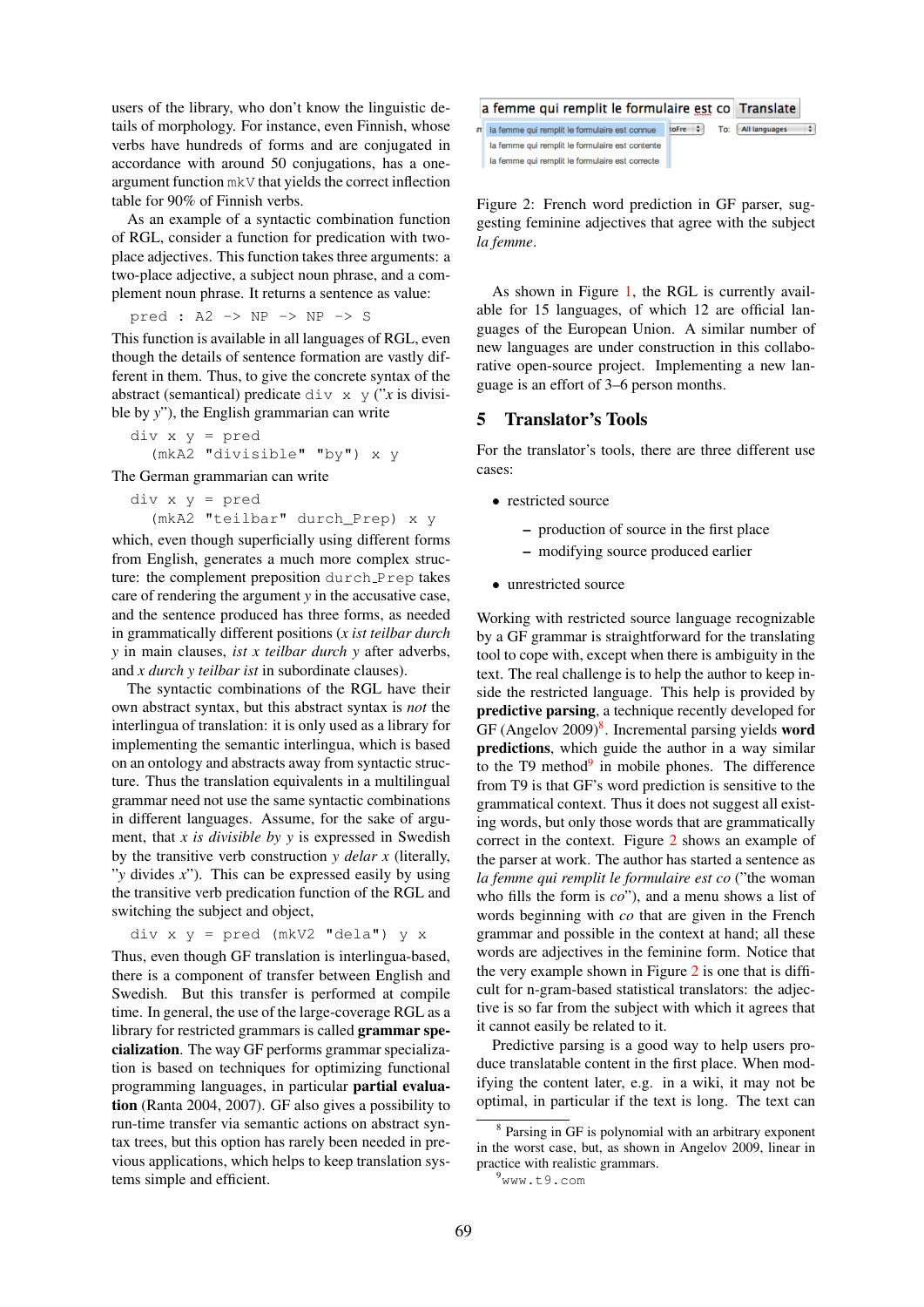users of the library, who don't know the linguistic details of morphology. For instance, even Finnish, whose verbs have hundreds of forms and are conjugated in accordance with around 50 conjugations, has a oneargument function mkV that yields the correct inflection table for 90% of Finnish verbs.

As an example of a syntactic combination function of RGL, consider a function for predication with twoplace adjectives. This function takes three arguments: a two-place adjective, a subject noun phrase, and a complement noun phrase. It returns a sentence as value:

pred : A2 -> NP -> NP -> S

This function is available in all languages of RGL, even though the details of sentence formation are vastly different in them. Thus, to give the concrete syntax of the abstract (semantical) predicate div  $x \, y$  ("*x* is divisible by *y*"), the English grammarian can write

div x y = pred (mkA2 "divisible" "by") x y

The German grammarian can write

```
div x y = pred(mkA2 "teilbar" durch_Prep) x y
```
which, even though superficially using different forms from English, generates a much more complex structure: the complement preposition durch Prep takes care of rendering the argument *y* in the accusative case, and the sentence produced has three forms, as needed in grammatically different positions (*x ist teilbar durch y* in main clauses, *ist x teilbar durch y* after adverbs, and *x durch y teilbar ist* in subordinate clauses).

The syntactic combinations of the RGL have their own abstract syntax, but this abstract syntax is *not* the interlingua of translation: it is only used as a library for implementing the semantic interlingua, which is based on an ontology and abstracts away from syntactic structure. Thus the translation equivalents in a multilingual grammar need not use the same syntactic combinations in different languages. Assume, for the sake of argument, that *x is divisible by y* is expressed in Swedish by the transitive verb construction *y delar x* (literally, "*y* divides *x*"). This can be expressed easily by using the transitive verb predication function of the RGL and switching the subject and object,

$$
div x y = pred (mkV2 "dela") y x
$$

Thus, even though GF translation is interlingua-based, there is a component of transfer between English and Swedish. But this transfer is performed at compile time. In general, the use of the large-coverage RGL as a library for restricted grammars is called grammar specialization. The way GF performs grammar specialization is based on techniques for optimizing functional programming languages, in particular partial evaluation (Ranta 2004, 2007). GF also gives a possibility to run-time transfer via semantic actions on abstract syntax trees, but this option has rarely been needed in previous applications, which helps to keep translation systems simple and efficient.





Figure 2: French word prediction in GF parser, suggesting feminine adjectives that agree with the subject *la femme*.

As shown in Figure 1, the RGL is currently available for 15 languages, of which 12 are official languages of the European Union. A similar number of new languages are under construction in this collaborative open-source project. Implementing a new language is an effort of 3–6 person months.

### 5 Translator's Tools

For the translator's tools, there are three different use cases:

- restricted source
	- production of source in the first place
	- modifying source produced earlier
- unrestricted source

Working with restricted source language recognizable by a GF grammar is straightforward for the translating tool to cope with, except when there is ambiguity in the text. The real challenge is to help the author to keep inside the restricted language. This help is provided by predictive parsing, a technique recently developed for GF (Angelov  $2009)^8$ . Incremental parsing yields word predictions, which guide the author in a way similar to the T9 method $9$  in mobile phones. The difference from T9 is that GF's word prediction is sensitive to the grammatical context. Thus it does not suggest all existing words, but only those words that are grammatically correct in the context. Figure 2 shows an example of the parser at work. The author has started a sentence as *la femme qui remplit le formulaire est co* ("the woman who fills the form is *co*"), and a menu shows a list of words beginning with *co* that are given in the French grammar and possible in the context at hand; all these words are adjectives in the feminine form. Notice that the very example shown in Figure 2 is one that is difficult for n-gram-based statistical translators: the adjective is so far from the subject with which it agrees that it cannot easily be related to it.

Predictive parsing is a good way to help users produce translatable content in the first place. When modifying the content later, e.g. in a wiki, it may not be optimal, in particular if the text is long. The text can

<sup>8</sup> Parsing in GF is polynomial with an arbitrary exponent in the worst case, but, as shown in Angelov 2009, linear in practice with realistic grammars.

<sup>9</sup>www.t9.com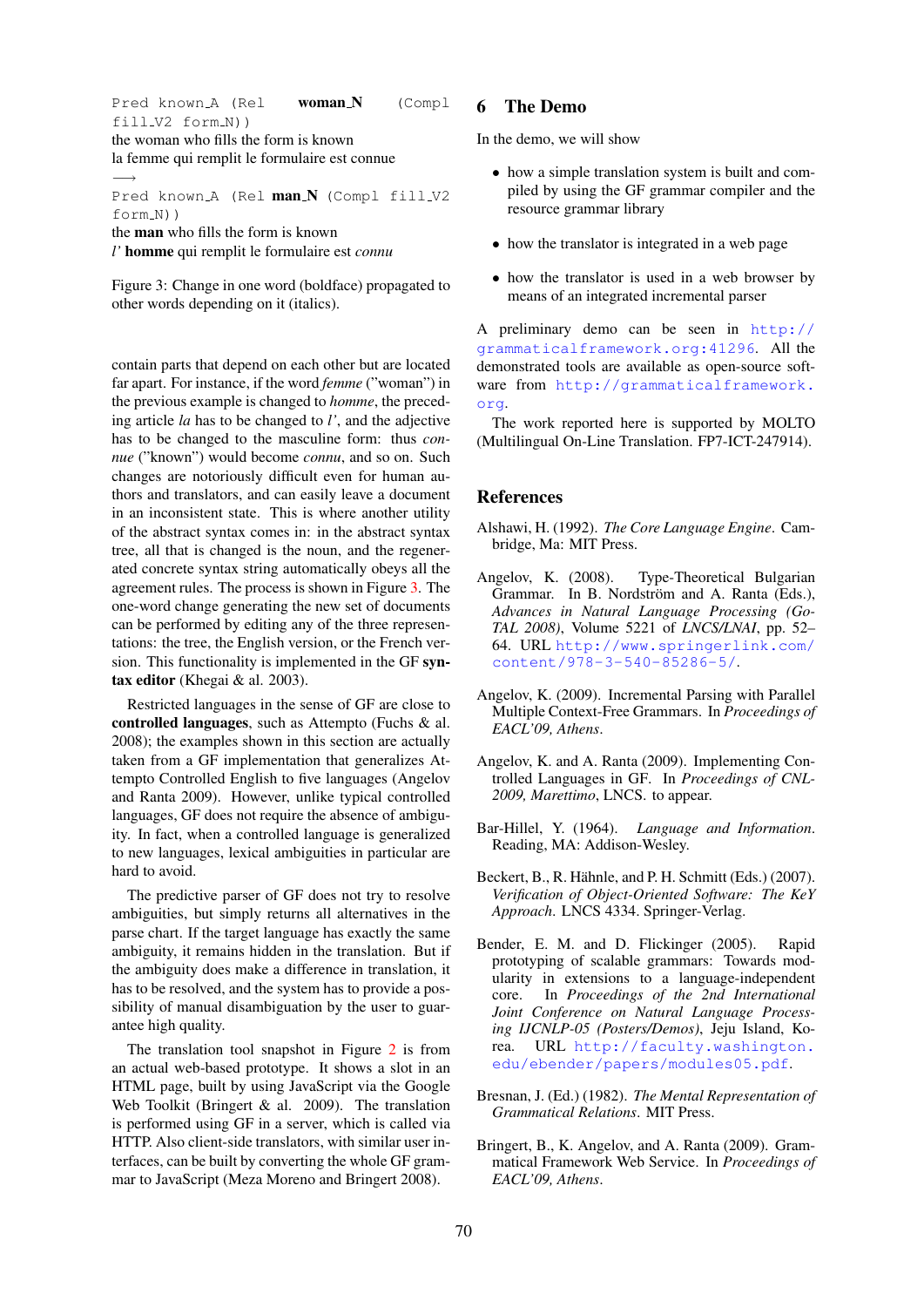Pred known A (Rel **woman N** (Compl fill\_V2 form\_N))

the woman who fills the form is known la femme qui remplit le formulaire est connue −→

Pred known A (Rel man N (Compl fill V2 form\_N))

the man who fills the form is known

*l'* homme qui remplit le formulaire est *connu*

Figure 3: Change in one word (boldface) propagated to other words depending on it (italics).

contain parts that depend on each other but are located far apart. For instance, if the word *femme* ("woman") in the previous example is changed to *homme*, the preceding article *la* has to be changed to *l'*, and the adjective has to be changed to the masculine form: thus *connue* ("known") would become *connu*, and so on. Such changes are notoriously difficult even for human authors and translators, and can easily leave a document in an inconsistent state. This is where another utility of the abstract syntax comes in: in the abstract syntax tree, all that is changed is the noun, and the regenerated concrete syntax string automatically obeys all the agreement rules. The process is shown in Figure 3. The one-word change generating the new set of documents can be performed by editing any of the three representations: the tree, the English version, or the French version. This functionality is implemented in the GF syntax editor (Khegai & al. 2003).

Restricted languages in the sense of GF are close to controlled languages, such as Attempto (Fuchs & al. 2008); the examples shown in this section are actually taken from a GF implementation that generalizes Attempto Controlled English to five languages (Angelov and Ranta 2009). However, unlike typical controlled languages, GF does not require the absence of ambiguity. In fact, when a controlled language is generalized to new languages, lexical ambiguities in particular are hard to avoid.

The predictive parser of GF does not try to resolve ambiguities, but simply returns all alternatives in the parse chart. If the target language has exactly the same ambiguity, it remains hidden in the translation. But if the ambiguity does make a difference in translation, it has to be resolved, and the system has to provide a possibility of manual disambiguation by the user to guarantee high quality.

The translation tool snapshot in Figure 2 is from an actual web-based prototype. It shows a slot in an HTML page, built by using JavaScript via the Google Web Toolkit (Bringert & al. 2009). The translation is performed using GF in a server, which is called via HTTP. Also client-side translators, with similar user interfaces, can be built by converting the whole GF grammar to JavaScript (Meza Moreno and Bringert 2008).

#### 6 The Demo

In the demo, we will show

- how a simple translation system is built and compiled by using the GF grammar compiler and the resource grammar library
- how the translator is integrated in a web page
- how the translator is used in a web browser by means of an integrated incremental parser

A preliminary demo can be seen in http:// grammaticalframework.org:41296. All the demonstrated tools are available as open-source software from http://grammaticalframework. org.

The work reported here is supported by MOLTO (Multilingual On-Line Translation. FP7-ICT-247914).

#### References

- Alshawi, H. (1992). *The Core Language Engine*. Cambridge, Ma: MIT Press.
- Angelov, K. (2008). Type-Theoretical Bulgarian Grammar. In B. Nordström and A. Ranta (Eds.), *Advances in Natural Language Processing (Go-TAL 2008)*, Volume 5221 of *LNCS/LNAI*, pp. 52– 64. URL http://www.springerlink.com/ content/978-3-540-85286-5/.
- Angelov, K. (2009). Incremental Parsing with Parallel Multiple Context-Free Grammars. In *Proceedings of EACL'09, Athens*.
- Angelov, K. and A. Ranta (2009). Implementing Controlled Languages in GF. In *Proceedings of CNL-2009, Marettimo*, LNCS. to appear.
- Bar-Hillel, Y. (1964). *Language and Information*. Reading, MA: Addison-Wesley.
- Beckert, B., R. Hähnle, and P. H. Schmitt (Eds.) (2007). *Verification of Object-Oriented Software: The KeY Approach*. LNCS 4334. Springer-Verlag.
- Bender, E. M. and D. Flickinger (2005). Rapid prototyping of scalable grammars: Towards modularity in extensions to a language-independent core. In *Proceedings of the 2nd International Joint Conference on Natural Language Processing IJCNLP-05 (Posters/Demos)*, Jeju Island, Korea. URL http://faculty.washington. edu/ebender/papers/modules05.pdf.
- Bresnan, J. (Ed.) (1982). *The Mental Representation of Grammatical Relations*. MIT Press.
- Bringert, B., K. Angelov, and A. Ranta (2009). Grammatical Framework Web Service. In *Proceedings of EACL'09, Athens*.